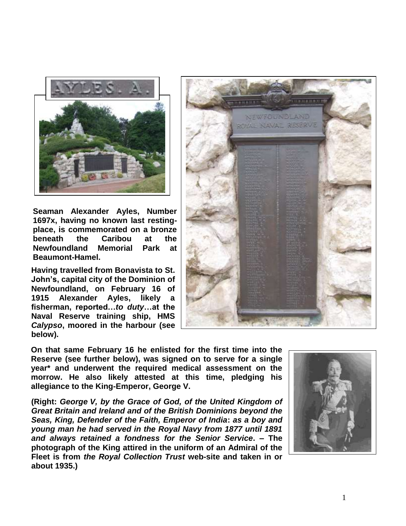

**Seaman Alexander Ayles, Number 1697x, having no known last restingplace, is commemorated on a bronze beneath the Caribou at the Newfoundland Memorial Park at Beaumont-Hamel.**

**Having travelled from Bonavista to St. John's, capital city of the Dominion of Newfoundland, on February 16 of Alexander Ayles, likely fisherman, reported…***to duty***…at the Naval Reserve training ship, HMS**  *Calypso***, moored in the harbour (see below).**



**On that same February 16 he enlisted for the first time into the Reserve (see further below), was signed on to serve for a single year\* and underwent the required medical assessment on the morrow. He also likely attested at this time, pledging his allegiance to the King-Emperor, George V.**

**(Right:** *George V, by the Grace of God, of the United Kingdom of Great Britain and Ireland and of the British Dominions beyond the Seas, King, Defender of the Faith, Emperor of India***:** *as a boy and young man he had served in the Royal Navy from 1877 until 1891 and always retained a fondness for the Senior Service***. – The photograph of the King attired in the uniform of an Admiral of the Fleet is from** *the Royal Collection Trust* **web-site and taken in or about 1935.)**

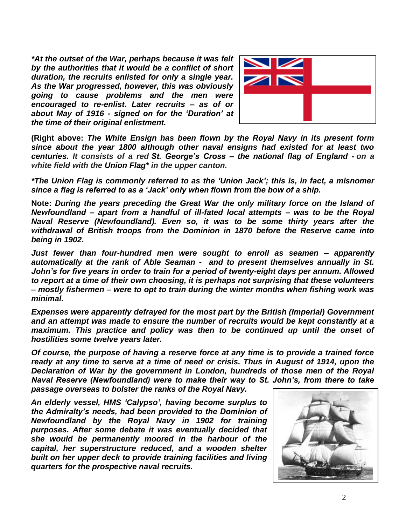*\*At the outset of the War, perhaps because it was felt by the authorities that it would be a conflict of short duration, the recruits enlisted for only a single year. As the War progressed, however, this was obviously going to cause problems and the men were encouraged to re-enlist***.** *Later recruits – as of or about May of 1916 - signed on for the 'Duration' at the time of their original enlistment.*



**(Right above:** *The White Ensign has been flown by the Royal Navy in its present form since about the year 1800 although other naval ensigns had existed for at least two centuries. It consists of a red St. George's Cross – the national flag of England - on a white field with the Union Flag\* in the upper canton.*

*\*The Union Flag is commonly referred to as the 'Union Jack'; this is, in fact, a misnomer since a flag is referred to as a 'Jack' only when flown from the bow of a ship.* 

**Note:** *During the years preceding the Great War the only military force on the Island of Newfoundland – apart from a handful of ill-fated local attempts – was to be the Royal Naval Reserve (Newfoundland). Even so, it was to be some thirty years after the withdrawal of British troops from the Dominion in 1870 before the Reserve came into being in 1902.* 

*Just fewer than four-hundred men were sought to enroll as seamen – apparently automatically at the rank of Able Seaman - and to present themselves annually in St. John's for five years in order to train for a period of twenty-eight days per annum. Allowed to report at a time of their own choosing, it is perhaps not surprising that these volunteers – mostly fishermen – were to opt to train during the winter months when fishing work was minimal.*

*Expenses were apparently defrayed for the most part by the British (Imperial) Government and an attempt was made to ensure the number of recruits would be kept constantly at a maximum. This practice and policy was then to be continued up until the onset of hostilities some twelve years later.*

*Of course, the purpose of having a reserve force at any time is to provide a trained force ready at any time to serve at a time of need or crisis. Thus in August of 1914, upon the Declaration of War by the government in London, hundreds of those men of the Royal Naval Reserve (Newfoundland) were to make their way to St. John's, from there to take passage overseas to bolster the ranks of the Royal Navy.*

*An elderly vessel, HMS 'Calypso', having become surplus to the Admiralty's needs, had been provided to the Dominion of Newfoundland by the Royal Navy in 1902 for training purposes. After some debate it was eventually decided that she would be permanently moored in the harbour of the capital, her superstructure reduced, and a wooden shelter built on her upper deck to provide training facilities and living quarters for the prospective naval recruits.* 

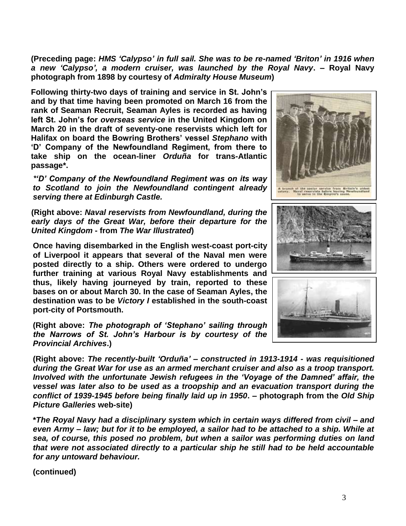**(Preceding page:** *HMS 'Calypso' in full sail. She was to be re-named 'Briton' in 1916 when a new 'Calypso', a modern cruiser, was launched by the Royal Navy***. – Royal Navy photograph from 1898 by courtesy of** *Admiralty House Museum***)**

**Following thirty-two days of training and service in St. John's and by that time having been promoted on March 16 from the rank of Seaman Recruit, Seaman Ayles is recorded as having left St. John's for** *overseas service* **in the United Kingdom on March 20 in the draft of seventy-one reservists which left for Halifax on board the Bowring Brothers' vessel** *Stephano* **with 'D' Company of the Newfoundland Regiment, from there to take ship on the ocean-liner** *Orduña* **for trans-Atlantic passage\*.**

*\*'D' Company of the Newfoundland Regiment was on its way to Scotland to join the Newfoundland contingent already serving there at Edinburgh Castle.*

**(Right above:** *Naval reservists from Newfoundland, during the early days of the Great War, before their departure for the United Kingdom* **- from** *The War Illustrated***)**

**Once having disembarked in the English west-coast port-city of Liverpool it appears that several of the Naval men were posted directly to a ship. Others were ordered to undergo further training at various Royal Navy establishments and thus, likely having journeyed by train, reported to these bases on or about March 30. In the case of Seaman Ayles, the destination was to be** *Victory I* **established in the south-coast port-city of Portsmouth.**

**(Right above:** *The photograph of 'Stephano' sailing through the Narrows of St. John's Harbour is by courtesy of the Provincial Archives***.)**

**(Right above:** *The recently-built 'Orduña' – constructed in 1913-1914 - was requisitioned during the Great War for use as an armed merchant cruiser and also as a troop transport. Involved with the unfortunate Jewish refugees in the 'Voyage of the Damned' affair, the vessel was later also to be used as a troopship and an evacuation transport during the conflict of 1939-1945 before being finally laid up in 1950***. – photograph from the** *Old Ship Picture Galleries* **web-site)**

**\****The Royal Navy had a disciplinary system which in certain ways differed from civil – and even Army – law; but for it to be employed, a sailor had to be attached to a ship. While at sea, of course, this posed no problem, but when a sailor was performing duties on land that were not associated directly to a particular ship he still had to be held accountable for any untoward behaviour.*

**(continued)**



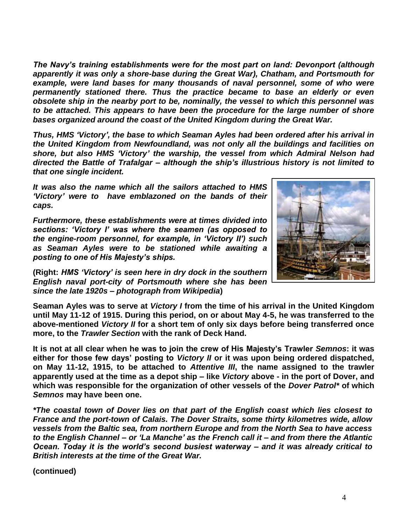*The Navy's training establishments were for the most part on land: Devonport (although apparently it was only a shore-base during the Great War), Chatham, and Portsmouth for example, were land bases for many thousands of naval personnel, some of who were permanently stationed there. Thus the practice became to base an elderly or even obsolete ship in the nearby port to be, nominally, the vessel to which this personnel was to be attached. This appears to have been the procedure for the large number of shore bases organized around the coast of the United Kingdom during the Great War.*

*Thus, HMS 'Victory', the base to which Seaman Ayles had been ordered after his arrival in the United Kingdom from Newfoundland, was not only all the buildings and facilities on shore, but also HMS 'Victory' the warship, the vessel from which Admiral Nelson had directed the Battle of Trafalgar – although the ship's illustrious history is not limited to that one single incident.*

*It was also the name which all the sailors attached to HMS 'Victory' were to have emblazoned on the bands of their caps.*

*Furthermore, these establishments were at times divided into sections: 'Victory I' was where the seamen (as opposed to the engine-room personnel, for example, in 'Victory II') such as Seaman Ayles were to be stationed while awaiting a posting to one of His Majesty's ships.*



**(Right:** *HMS 'Victory' is seen here in dry dock in the southern English naval port-city of Portsmouth where she has been since the late 1920s – photograph from Wikipedia***)**

**Seaman Ayles was to serve at** *Victory I* **from the time of his arrival in the United Kingdom until May 11-12 of 1915. During this period, on or about May 4-5, he was transferred to the above-mentioned** *Victory II* **for a short tem of only six days before being transferred once more, to the** *Trawler Section* **with the rank of Deck Hand.**

**It is not at all clear when he was to join the crew of His Majesty's Trawler** *Semnos***: it was either for those few days' posting to** *Victory II* **or it was upon being ordered dispatched, on May 11-12, 1915, to be attached to** *Attentive III***, the name assigned to the trawler apparently used at the time as a depot ship – like** *Victory* **above - in the port of Dover, and which was responsible for the organization of other vessels of the** *Dover Patrol\** **of which**  *Semnos* **may have been one.**

*\*The coastal town of Dover lies on that part of the English coast which lies closest to France and the port-town of Calais. The Dover Straits, some thirty kilometres wide, allow vessels from the Baltic sea, from northern Europe and from the North Sea to have access to the English Channel – or 'La Manche' as the French call it – and from there the Atlantic Ocean. Today it is the world's second busiest waterway – and it was already critical to British interests at the time of the Great War.*

**(continued)**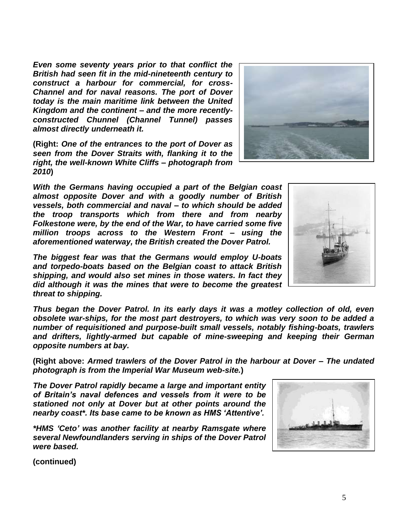**(continued)**

*Even some seventy years prior to that conflict the British had seen fit in the mid-nineteenth century to construct a harbour for commercial, for cross-Channel and for naval reasons. The port of Dover today is the main maritime link between the United Kingdom and the continent – and the more recentlyconstructed Chunnel (Channel Tunnel) passes almost directly underneath it.*

**(Right:** *One of the entrances to the port of Dover as seen from the Dover Straits with, flanking it to the right, the well-known White Cliffs – photograph from 2010***)**

*With the Germans having occupied a part of the Belgian coast almost opposite Dover and with a goodly number of British vessels, both commercial and naval – to which should be added the troop transports which from there and from nearby Folkestone were, by the end of the War, to have carried some five million troops across to the Western Front – using the aforementioned waterway, the British created the Dover Patrol.*

*The biggest fear was that the Germans would employ U-boats and torpedo-boats based on the Belgian coast to attack British shipping, and would also set mines in those waters. In fact they did although it was the mines that were to become the greatest threat to shipping.*

*Thus began the Dover Patrol. In its early days it was a motley collection of old, even obsolete war-ships, for the most part destroyers, to which was very soon to be added a number of requisitioned and purpose-built small vessels, notably fishing-boats, trawlers and drifters, lightly-armed but capable of mine-sweeping and keeping their German opposite numbers at bay.*

**(Right above:** *Armed trawlers of the Dover Patrol in the harbour at Dover – The undated photograph is from the Imperial War Museum web-site.***)**

*The Dover Patrol rapidly became a large and important entity of Britain's naval defences and vessels from it were to be stationed not only at Dover but at other points around the nearby coast\*. Its base came to be known as HMS 'Attentive'.*

*\*HMS 'Ceto' was another facility at nearby Ramsgate where several Newfoundlanders serving in ships of the Dover Patrol were based.*



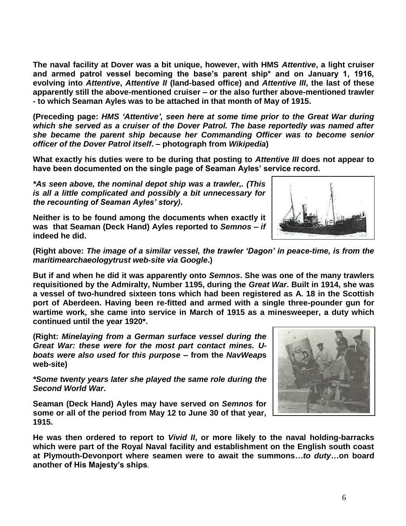**The naval facility at Dover was a bit unique, however, with HMS** *Attentive***, a light cruiser and armed patrol vessel becoming the base's parent ship\* and on January 1, 1916, evolving into** *Attentive***,** *Attentive II* **(land-based office) and** *Attentive III***, the last of these apparently still the above-mentioned cruiser – or the also further above-mentioned trawler - to which Seaman Ayles was to be attached in that month of May of 1915.**

**(Preceding page:** *HMS 'Attentive', seen here at some time prior to the Great War during which she served as a cruiser of the Dover Patrol. The base reportedly was named after she became the parent ship because her Commanding Officer was to become senior officer of the Dover Patrol itself***. – photograph from** *Wikipedia***)**

**What exactly his duties were to be during that posting to** *Attentive III* **does not appear to have been documented on the single page of Seaman Ayles' service record.**

*\*As seen above, the nominal depot ship was a trawler,. (This is all a little complicated and possibly a bit unnecessary for the recounting of Seaman Ayles' story).*

**Neither is to be found among the documents when exactly it was that Seaman (Deck Hand) Ayles reported to** *Semnos* **–** *if* **indeed he did.**

**(Right above:** *The image of a similar vessel, the trawler 'Dagon' in peace-time, is from the maritimearchaeologytrust web-site via Google***.)**

**But if and when he did it was apparently onto** *Semnos***. She was one of the many trawlers requisitioned by the Admiralty, Number 1195, during the** *Great War***. Built in 1914, she was a vessel of two-hundred sixteen tons which had been registered as A. 18 in the Scottish port of Aberdeen. Having been re-fitted and armed with a single three-pounder gun for wartime work, she came into service in March of 1915 as a minesweeper, a duty which continued until the year 1920\*.** 

**(Right:** *Minelaying from a German surface vessel during the Great War: these were for the most part contact mines. Uboats were also used for this purpose* **– from the** *NavWeap***s web-site)**

*\*Some twenty years later she played the same role during the Second World War***.**

**Seaman (Deck Hand) Ayles may have served on** *Semnos* **for some or all of the period from May 12 to June 30 of that year, 1915.**

**He was then ordered to report to** *Vivid II***, or more likely to the naval holding-barracks which were part of the Royal Naval facility and establishment on the English south coast at Plymouth-Devonport where seamen were to await the summons…***to duty***…on board another of His Majesty's ships.**



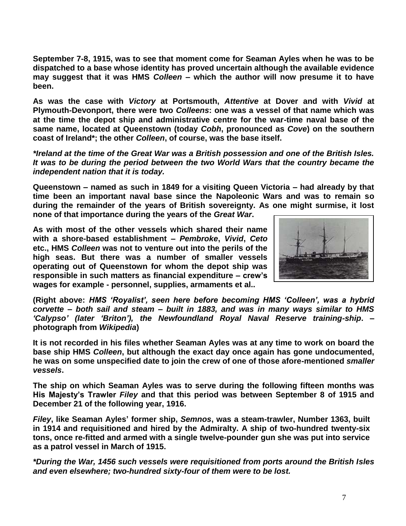**September 7-8, 1915, was to see that moment come for Seaman Ayles when he was to be dispatched to a base whose identity has proved uncertain although the available evidence may suggest that it was HMS** *Colleen* **– which the author will now presume it to have been.**

**As was the case with** *Victory* **at Portsmouth,** *Attentive* **at Dover and with** *Vivid* **at Plymouth-Devonport, there were two** *Colleens***: one was a vessel of that name which was at the time the depot ship and administrative centre for the war-time naval base of the same name, located at Queenstown (today** *Cobh***, pronounced as** *Cove***) on the southern coast of Ireland\*; the other** *Colleen***, of course, was the base itself.**

*\*Ireland at the time of the Great War was a British possession and one of the British Isles. It was to be during the period between the two World Wars that the country became the independent nation that it is today.*

**Queenstown – named as such in 1849 for a visiting Queen Victoria – had already by that time been an important naval base since the Napoleonic Wars and was to remain so during the remainder of the years of British sovereignty. As one might surmise, it lost none of that importance during the years of the** *Great War***.**

**As with most of the other vessels which shared their name with a shore-based establishment –** *Pembroke***,** *Vivid***,** *Ceto* **etc., HMS** *Colleen* **was not to venture out into the perils of the high seas. But there was a number of smaller vessels operating out of Queenstown for whom the depot ship was responsible in such matters as financial expenditure – crew's wages for example - personnel, supplies, armaments et al..**



**(Right above:** *HMS 'Royalist', seen here before becoming HMS 'Colleen', was a hybrid corvette – both sail and steam – built in 1883, and was in many ways similar to HMS 'Calypso' (later 'Briton'), the Newfoundland Royal Naval Reserve training-ship***. – photograph from** *Wikipedia***)**

**It is not recorded in his files whether Seaman Ayles was at any time to work on board the base ship HMS** *Colleen***, but although the exact day once again has gone undocumented, he was on some unspecified date to join the crew of one of those afore-mentioned** *smaller vessels***.** 

**The ship on which Seaman Ayles was to serve during the following fifteen months was His Majesty's Trawler** *Filey* **and that this period was between September 8 of 1915 and December 21 of the following year, 1916.**

*Filey***, like Seaman Ayles' former ship,** *Semnos***, was a steam-trawler, Number 1363, built in 1914 and requisitioned and hired by the Admiralty. A ship of two-hundred twenty-six tons, once re-fitted and armed with a single twelve-pounder gun she was put into service as a patrol vessel in March of 1915.**

*\*During the War, 1456 such vessels were requisitioned from ports around the British Isles and even elsewhere; two-hundred sixty-four of them were to be lost.*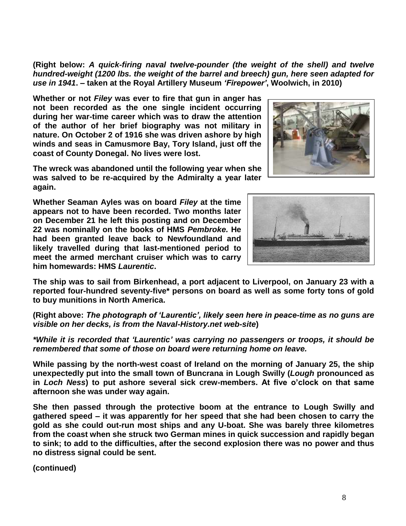**(Right below:** *A quick-firing naval twelve-pounder (the weight of the shell) and twelve hundred-weight (1200 lbs. the weight of the barrel and breech) gun, here seen adapted for use in 1941***. – taken at the Royal Artillery Museum** *'Firepower'***, Woolwich, in 2010)**

**Whether or not** *Filey* **was ever to fire that gun in anger has not been recorded as the one single incident occurring during her war-time career which was to draw the attention of the author of her brief biography was not military in nature. On October 2 of 1916 she was driven ashore by high winds and seas in Camusmore Bay, Tory Island, just off the coast of County Donegal. No lives were lost.** 

**The wreck was abandoned until the following year when she was salved to be re-acquired by the Admiralty a year later again.**

**Whether Seaman Ayles was on board** *Filey* **at the time appears not to have been recorded. Two months later on December 21 he left this posting and on December 22 was nominally on the books of HMS** *Pembroke.* **He had been granted leave back to Newfoundland and likely travelled during that last-mentioned period to meet the armed merchant cruiser which was to carry him homewards: HMS** *Laurentic***.**

**The ship was to sail from Birkenhead, a port adjacent to Liverpool, on January 23 with a reported four-hundred seventy-five\* persons on board as well as some forty tons of gold to buy munitions in North America.**

**(Right above:** *The photograph of 'Laurentic', likely seen here in peace-time as no guns are visible on her decks, is from the Naval-History.net web-site***)**

*\*While it is recorded that 'Laurentic' was carrying no passengers or troops, it should be remembered that some of those on board were returning home on leave.*

**While passing by the north-west coast of Ireland on the morning of January 25, the ship unexpectedly put into the small town of Buncrana in Lough Swilly (***Lough* **pronounced as in** *Loch Ness***) to put ashore several sick crew-members. At five o'clock on that same afternoon she was under way again.**

**She then passed through the protective boom at the entrance to Lough Swilly and gathered speed – it was apparently for her speed that she had been chosen to carry the gold as she could out-run most ships and any U-boat. She was barely three kilometres from the coast when she struck two German mines in quick succession and rapidly began to sink; to add to the difficulties, after the second explosion there was no power and thus no distress signal could be sent.**

**(continued)**



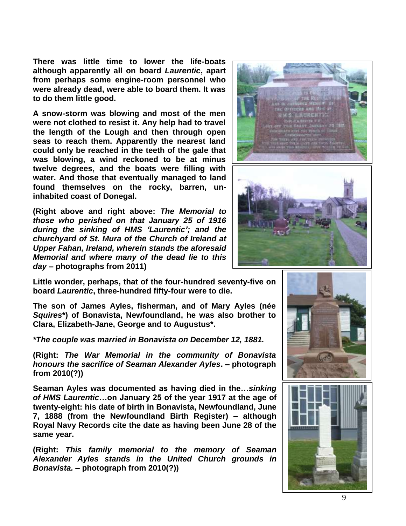**There was little time to lower the life-boats although apparently all on board** *Laurentic***, apart from perhaps some engine-room personnel who were already dead, were able to board them. It was to do them little good.**

**A snow-storm was blowing and most of the men were not clothed to resist it. Any help had to travel the length of the Lough and then through open seas to reach them. Apparently the nearest land could only be reached in the teeth of the gale that was blowing, a wind reckoned to be at minus twelve degrees, and the boats were filling with water. And those that eventually managed to land found themselves on the rocky, barren, uninhabited coast of Donegal.** 

**(Right above and right above:** *The Memorial to those who perished on that January 25 of 1916 during the sinking of HMS 'Laurentic'; and the churchyard of St. Mura of the Church of Ireland at Upper Fahan, Ireland, wherein stands the aforesaid Memorial and where many of the dead lie to this day* **– photographs from 2011)**

**Little wonder, perhaps, that of the four-hundred seventy-five on board** *Laurentic***, three-hundred fifty-four were to die.**

**The son of James Ayles, fisherman, and of Mary Ayles (née**  *Squires***\*) of Bonavista, Newfoundland, he was also brother to Clara, Elizabeth-Jane, George and to Augustus\*.**

*\*The couple was married in Bonavista on December 12, 1881.*

**(Right:** *The War Memorial in the community of Bonavista honours the sacrifice of Seaman Alexander Ayles***. – photograph from 2010(?))**

**Seaman Ayles was documented as having died in the…***sinking of HMS Laurentic***…on January 25 of the year 1917 at the age of twenty-eight: his date of birth in Bonavista, Newfoundland, June 7, 1888 (from the Newfoundland Birth Register) – although Royal Navy Records cite the date as having been June 28 of the same year.**

**(Right:** *This family memorial to the memory of Seaman Alexander Ayles stands in the United Church grounds in Bonavista.* **– photograph from 2010(?))**